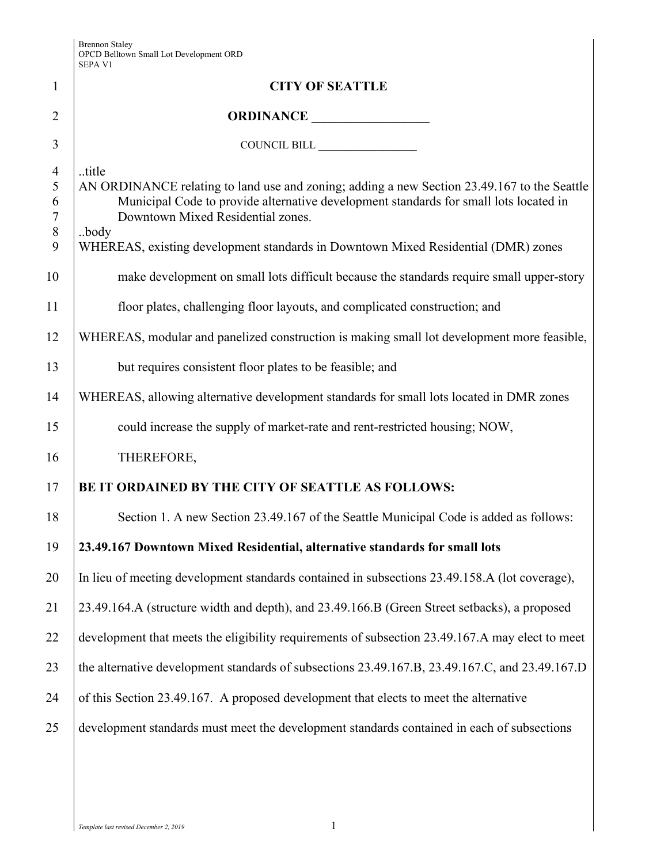|                                               | <b>SEPA V1</b>                                                                                                                                                                                                                             |  |
|-----------------------------------------------|--------------------------------------------------------------------------------------------------------------------------------------------------------------------------------------------------------------------------------------------|--|
| $\mathbf{1}$                                  | <b>CITY OF SEATTLE</b>                                                                                                                                                                                                                     |  |
| $\overline{2}$                                | ORDINANCE                                                                                                                                                                                                                                  |  |
| 3                                             | COUNCIL BILL                                                                                                                                                                                                                               |  |
| $\overline{4}$<br>5<br>6<br>$\tau$<br>$\,8\,$ | title<br>AN ORDINANCE relating to land use and zoning; adding a new Section 23.49.167 to the Seattle<br>Municipal Code to provide alternative development standards for small lots located in<br>Downtown Mixed Residential zones.<br>body |  |
| 9                                             | WHEREAS, existing development standards in Downtown Mixed Residential (DMR) zones                                                                                                                                                          |  |
| 10                                            | make development on small lots difficult because the standards require small upper-story                                                                                                                                                   |  |
| 11                                            | floor plates, challenging floor layouts, and complicated construction; and                                                                                                                                                                 |  |
| 12                                            | WHEREAS, modular and panelized construction is making small lot development more feasible,                                                                                                                                                 |  |
| 13                                            | but requires consistent floor plates to be feasible; and                                                                                                                                                                                   |  |
| 14                                            | WHEREAS, allowing alternative development standards for small lots located in DMR zones                                                                                                                                                    |  |
| 15                                            | could increase the supply of market-rate and rent-restricted housing; NOW,                                                                                                                                                                 |  |
| 16                                            | THEREFORE,                                                                                                                                                                                                                                 |  |
| 17                                            | BE IT ORDAINED BY THE CITY OF SEATTLE AS FOLLOWS:                                                                                                                                                                                          |  |
| 18                                            | Section 1. A new Section 23.49.167 of the Seattle Municipal Code is added as follows:                                                                                                                                                      |  |
| 19                                            | 23.49.167 Downtown Mixed Residential, alternative standards for small lots                                                                                                                                                                 |  |
| 20                                            | In lieu of meeting development standards contained in subsections 23.49.158.A (lot coverage),                                                                                                                                              |  |
| 21                                            | 23.49.164.A (structure width and depth), and 23.49.166.B (Green Street setbacks), a proposed                                                                                                                                               |  |
| 22                                            | development that meets the eligibility requirements of subsection 23.49.167.A may elect to meet                                                                                                                                            |  |
| 23                                            | the alternative development standards of subsections 23.49.167.B, 23.49.167.C, and 23.49.167.D                                                                                                                                             |  |
| 24                                            | of this Section 23.49.167. A proposed development that elects to meet the alternative                                                                                                                                                      |  |
| 25                                            | development standards must meet the development standards contained in each of subsections                                                                                                                                                 |  |
|                                               |                                                                                                                                                                                                                                            |  |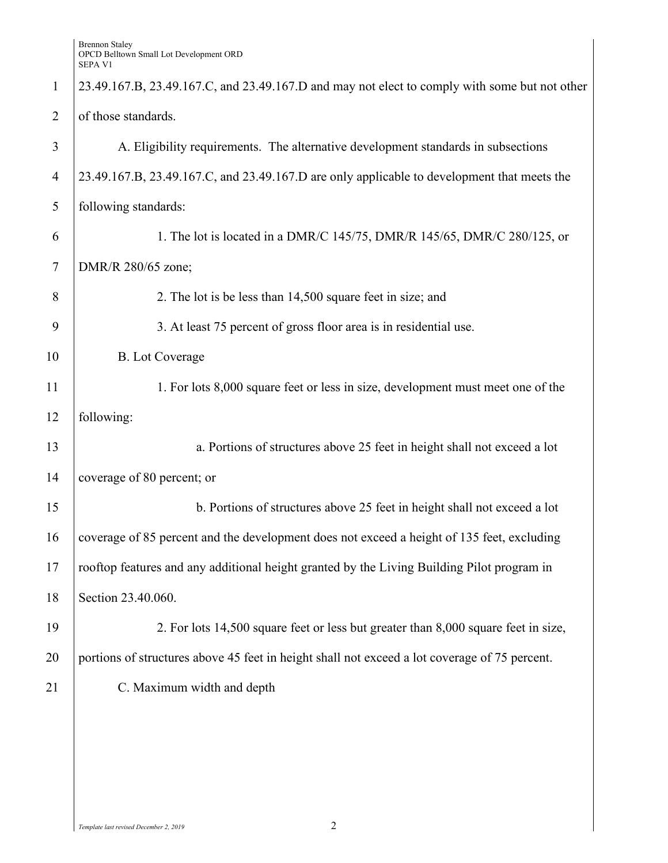Brennon Staley OPCD Belltown Small Lot Development ORD SEPA V1

| $\mathbf{1}$   | 23.49.167.B, 23.49.167.C, and 23.49.167.D and may not elect to comply with some but not other |  |  |
|----------------|-----------------------------------------------------------------------------------------------|--|--|
| $\overline{2}$ | of those standards.                                                                           |  |  |
| 3              | A. Eligibility requirements. The alternative development standards in subsections             |  |  |
| $\overline{4}$ | 23.49.167.B, 23.49.167.C, and 23.49.167.D are only applicable to development that meets the   |  |  |
| 5              | following standards:                                                                          |  |  |
| 6              | 1. The lot is located in a DMR/C 145/75, DMR/R 145/65, DMR/C 280/125, or                      |  |  |
| $\overline{7}$ | DMR/R 280/65 zone;                                                                            |  |  |
| 8              | 2. The lot is be less than 14,500 square feet in size; and                                    |  |  |
| 9              | 3. At least 75 percent of gross floor area is in residential use.                             |  |  |
| 10             | <b>B.</b> Lot Coverage                                                                        |  |  |
| 11             | 1. For lots 8,000 square feet or less in size, development must meet one of the               |  |  |
| 12             | following:                                                                                    |  |  |
| 13             | a. Portions of structures above 25 feet in height shall not exceed a lot                      |  |  |
| 14             | coverage of 80 percent; or                                                                    |  |  |
| 15             | b. Portions of structures above 25 feet in height shall not exceed a lot                      |  |  |
| 16             | coverage of 85 percent and the development does not exceed a height of 135 feet, excluding    |  |  |
| 17             | rooftop features and any additional height granted by the Living Building Pilot program in    |  |  |
| 18             | Section 23.40.060.                                                                            |  |  |
| 19             | 2. For lots 14,500 square feet or less but greater than 8,000 square feet in size,            |  |  |
| 20             | portions of structures above 45 feet in height shall not exceed a lot coverage of 75 percent. |  |  |
| 21             | C. Maximum width and depth                                                                    |  |  |
|                |                                                                                               |  |  |
|                |                                                                                               |  |  |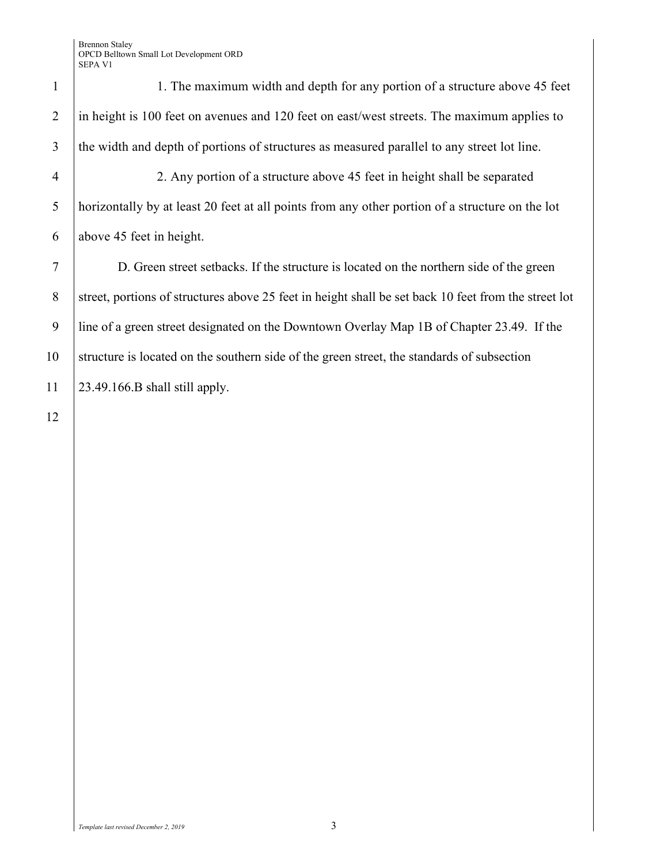Brennon Staley OPCD Belltown Small Lot Development ORD SEPA V1

1 1. The maximum width and depth for any portion of a structure above 45 feet 2 in height is 100 feet on avenues and 120 feet on east/west streets. The maximum applies to 3 the width and depth of portions of structures as measured parallel to any street lot line.

4 2. Any portion of a structure above 45 feet in height shall be separated 5 horizontally by at least 20 feet at all points from any other portion of a structure on the lot 6 above 45 feet in height.

7 D. Green street setbacks. If the structure is located on the northern side of the green 8 street, portions of structures above 25 feet in height shall be set back 10 feet from the street lot 9 line of a green street designated on the Downtown Overlay Map 1B of Chapter 23.49. If the 10 Structure is located on the southern side of the green street, the standards of subsection 11 23.49.166.B shall still apply.

12